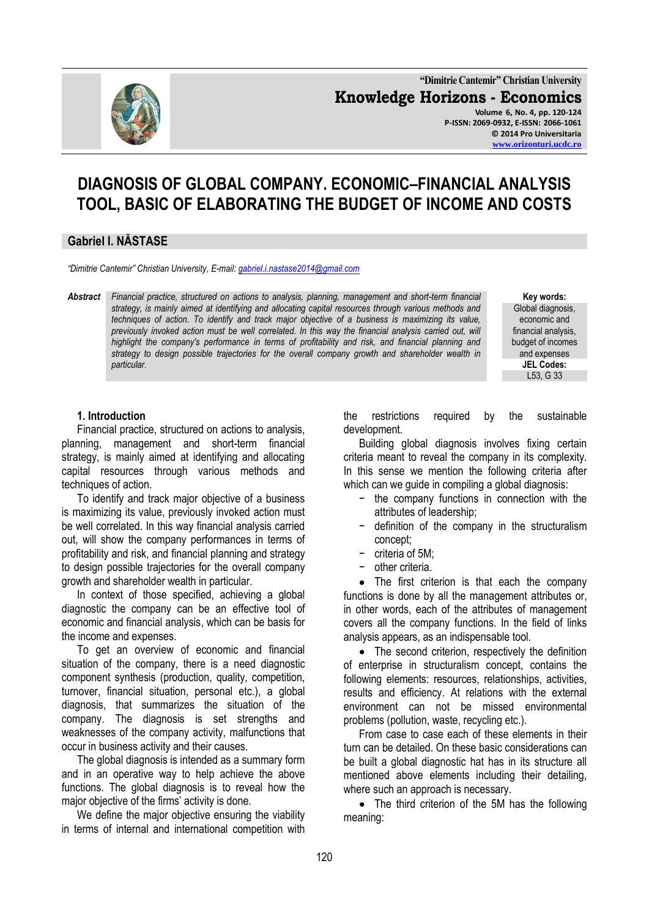

**"Dimitrie Cantemir" Christian University Knowledge Horizons - Economics Volume 6, No. 4, pp. 120-124 P-ISSN: 2069-0932, E-ISSN: 2066-1061 © 2014 Pro Universitaria [www.orizonturi.ucdc.ro](http://www.orizonturi.ucdc.ro/)**

# **DIAGNOSIS OF GLOBAL COMPANY. ECONOMIC–FINANCIAL ANALYSIS TOOL, BASIC OF ELABORATING THE BUDGET OF INCOME AND COSTS**

## **Gabriel I. NĂSTASE**

*"Dimitrie Cantemir" Christian University, E-mail[: gabriel.i.nastase2014@gmail.com](mailto:gabriel.i.nastase2014@gmail.com)*

*Abstract Financial practice, structured on actions to analysis, planning, management and short-term financial strategy, is mainly aimed at identifying and allocating capital resources through various methods and techniques of action. To identify and track major objective of a business is maximizing its value,*  previously invoked action must be well correlated. In this way the financial analysis carried out, will highlight the company's performance in terms of profitability and risk, and financial planning and *strategy to design possible trajectories for the overall company growth and shareholder wealth in particular.*

**Key words:** Global diagnosis, economic and financial analysis, budget of incomes and expenses **JEL Codes:** L53, G 33

#### **1. Introduction**

Financial practice, structured on actions to analysis, planning, management and short-term financial strategy, is mainly aimed at identifying and allocating capital resources through various methods and techniques of action.

To identify and track major objective of a business is maximizing its value, previously invoked action must be well correlated. In this way financial analysis carried out, will show the company performances in terms of profitability and risk, and financial planning and strategy to design possible trajectories for the overall company growth and shareholder wealth in particular.

In context of those specified, achieving a global diagnostic the company can be an effective tool of economic and financial analysis, which can be basis for the income and expenses.

To get an overview of economic and financial situation of the company, there is a need diagnostic component synthesis (production, quality, competition, turnover, financial situation, personal etc.), a global diagnosis, that summarizes the situation of the company. The diagnosis is set strengths and weaknesses of the company activity, malfunctions that occur in business activity and their causes.

The global diagnosis is intended as a summary form and in an operative way to help achieve the above functions. The global diagnosis is to reveal how the major objective of the firms' activity is done.

We define the major objective ensuring the viability in terms of internal and international competition with the restrictions required by the sustainable development.

Building global diagnosis involves fixing certain criteria meant to reveal the company in its complexity. In this sense we mention the following criteria after which can we guide in compiling a global diagnosis:

- the company functions in connection with the attributes of leadership;
- − definition of the company in the structuralism concept;
- − criteria of 5M;
- − other criteria.

• The first criterion is that each the company functions is done by all the management attributes or, in other words, each of the attributes of management covers all the company functions. In the field of links analysis appears, as an indispensable tool.

• The second criterion, respectively the definition of enterprise in structuralism concept, contains the following elements: resources, relationships, activities, results and efficiency. At relations with the external environment can not be missed environmental problems (pollution, waste, recycling etc.).

From case to case each of these elements in their turn can be detailed. On these basic considerations can be built a global diagnostic hat has in its structure all mentioned above elements including their detailing, where such an approach is necessary.

• The third criterion of the 5M has the following meaning: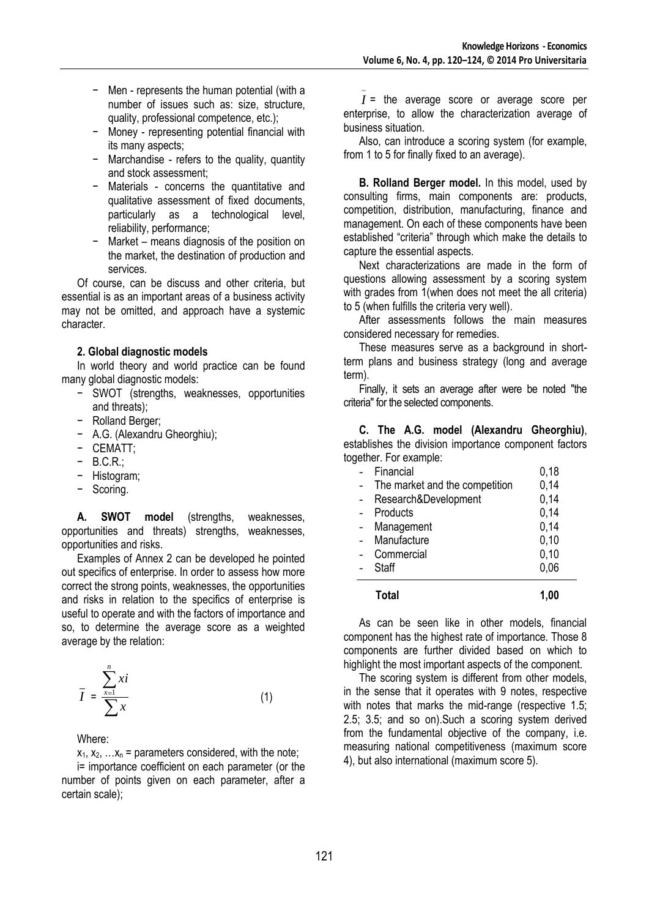- − Men represents the human potential (with a number of issues such as: size, structure, quality, professional competence, etc.);
- − Money representing potential financial with its many aspects;
- − Marchandise refers to the quality, quantity and stock assessment;
- − Materials concerns the quantitative and qualitative assessment of fixed documents, particularly as a technological level, reliability, performance;
- − Market means diagnosis of the position on the market, the destination of production and services.

Of course, can be discuss and other criteria, but essential is as an important areas of a business activity may not be omitted, and approach have a systemic character.

#### **2. Global diagnostic models**

In world theory and world practice can be found many global diagnostic models:

- − SWOT (strengths, weaknesses, opportunities and threats);
- − Rolland Berger;
- − A.G. (Alexandru Gheorghiu);
- − CEMATT;
- − B.C.R.;
- − Histogram;
- − Scoring.

**A. SWOT model** (strengths, weaknesses, opportunities and threats) strengths, weaknesses, opportunities and risks.

Examples of Annex 2 can be developed he pointed out specifics of enterprise. In order to assess how more correct the strong points, weaknesses, the opportunities and risks in relation to the specifics of enterprise is useful to operate and with the factors of importance and so, to determine the average score as a weighted average by the relation:

$$
\overline{I} = \frac{\sum_{x=1}^{n} xi}{\sum x}
$$
 (1)

Where:

 $x_1, x_2, \ldots, x_n$  = parameters considered, with the note;

i= importance coefficient on each parameter (or the number of points given on each parameter, after a certain scale);

*I* = the average score or average score per enterprise, to allow the characterization average of business situation.

Also, can introduce a scoring system (for example, from 1 to 5 for finally fixed to an average).

**B. Rolland Berger model.** In this model, used by consulting firms, main components are: products, competition, distribution, manufacturing, finance and management. On each of these components have been established "criteria" through which make the details to capture the essential aspects.

Next characterizations are made in the form of questions allowing assessment by a scoring system with grades from 1(when does not meet the all criteria) to 5 (when fulfills the criteria very well).

After assessments follows the main measures considered necessary for remedies.

These measures serve as a background in shortterm plans and business strategy (long and average term).

Finally, it sets an average after were be noted "the criteria" for the selected components.

**C. The A.G. model (Alexandru Gheorghiu)**, establishes the division importance component factors together. For example:

| Total                          | 1.00 |
|--------------------------------|------|
| <b>Staff</b>                   | 0,06 |
| Commercial                     | 0,10 |
| Manufacture                    | 0,10 |
| Management                     | 0,14 |
| Products                       | 0,14 |
| Research&Development           | 0,14 |
| The market and the competition | 0,14 |
| Financial                      | 0,18 |

As can be seen like in other models, financial component has the highest rate of importance. Those 8 components are further divided based on which to highlight the most important aspects of the component.

The scoring system is different from other models, in the sense that it operates with 9 notes, respective with notes that marks the mid-range (respective 1.5; 2.5; 3.5; and so on).Such a scoring system derived from the fundamental objective of the company, i.e. measuring national competitiveness (maximum score 4), but also international (maximum score 5).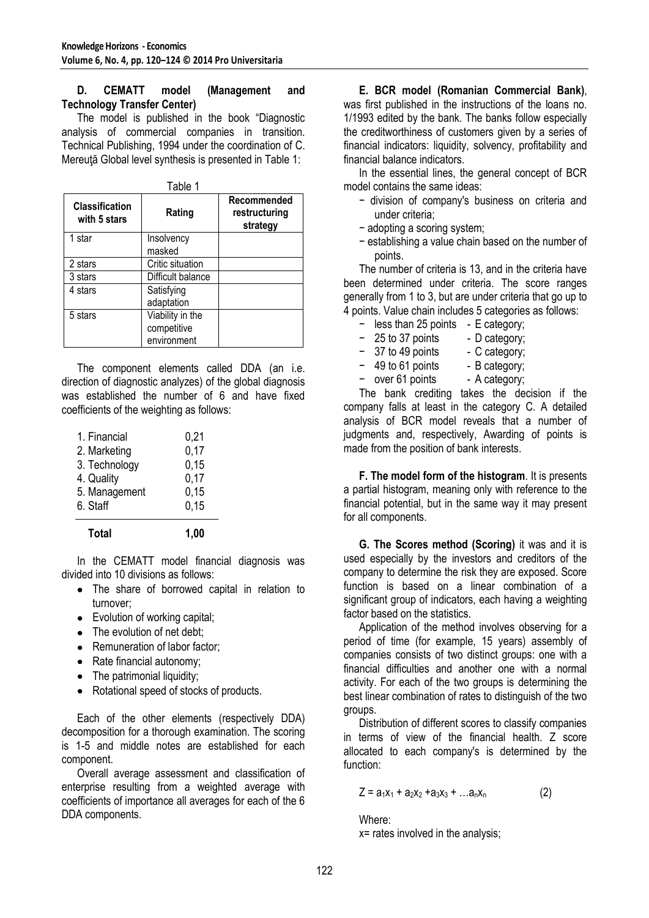### **D. CEMATT model (Management and Technology Transfer Center)**

The model is published in the book "Diagnostic analysis of commercial companies in transition. Technical Publishing, 1994 under the coordination of C. Mereuţă Global level synthesis is presented in Table 1:

| <b>Classification</b><br>with 5 stars | Rating                                         | Recommended<br>restructuring<br>strategy |
|---------------------------------------|------------------------------------------------|------------------------------------------|
| 1 star                                | Insolvency<br>masked                           |                                          |
| 2 stars                               | Critic situation                               |                                          |
| 3 stars                               | Difficult balance                              |                                          |
| 4 stars                               | Satisfying<br>adaptation                       |                                          |
| 5 stars                               | Viability in the<br>competitive<br>environment |                                          |

The component elements called DDA (an i.e. direction of diagnostic analyzes) of the global diagnosis was established the number of 6 and have fixed coefficients of the weighting as follows:

| 0,15 |
|------|
| 0,15 |
| 0,17 |
| 0,15 |
| 0,17 |
| 0,21 |
|      |

In the CEMATT model financial diagnosis was divided into 10 divisions as follows:

- The share of borrowed capital in relation to turnover;
- Evolution of working capital;
- The evolution of net debt:
- Remuneration of labor factor:
- Rate financial autonomy;
- The patrimonial liquidity:
- Rotational speed of stocks of products.

Each of the other elements (respectively DDA) decomposition for a thorough examination. The scoring is 1-5 and middle notes are established for each component.

Overall average assessment and classification of enterprise resulting from a weighted average with coefficients of importance all averages for each of the 6 DDA components.

**E. BCR model (Romanian Commercial Bank)**, was first published in the instructions of the loans no. 1/1993 edited by the bank. The banks follow especially the creditworthiness of customers given by a series of financial indicators: liquidity, solvency, profitability and financial balance indicators.

In the essential lines, the general concept of BCR model contains the same ideas:

- − division of company's business on criteria and under criteria;
- − adopting a scoring system;
- − establishing a value chain based on the number of points.

The number of criteria is 13, and in the criteria have been determined under criteria. The score ranges generally from 1 to 3, but are under criteria that go up to 4 points. Value chain includes 5 categories as follows:

- − less than 25 points E category;
- − 25 to 37 points D category;
- − 37 to 49 points C category;<br>- 49 to 61 points B category;
- $-49$  to 61 points
- over 61 points A category:

The bank crediting takes the decision if the company falls at least in the category C. A detailed analysis of BCR model reveals that a number of judgments and, respectively, Awarding of points is made from the position of bank interests.

**F. The model form of the histogram**. It is presents a partial histogram, meaning only with reference to the financial potential, but in the same way it may present for all components.

**G. The Scores method (Scoring)** it was and it is used especially by the investors and creditors of the company to determine the risk they are exposed. Score function is based on a linear combination of a significant group of indicators, each having a weighting factor based on the statistics.

Application of the method involves observing for a period of time (for example, 15 years) assembly of companies consists of two distinct groups: one with a financial difficulties and another one with a normal activity. For each of the two groups is determining the best linear combination of rates to distinguish of the two groups.

Distribution of different scores to classify companies in terms of view of the financial health. Z score allocated to each company's is determined by the function:

 $Z = a_1x_1 + a_2x_2 + a_3x_3 + ... a_nx_n$  (2)

Where: x= rates involved in the analysis;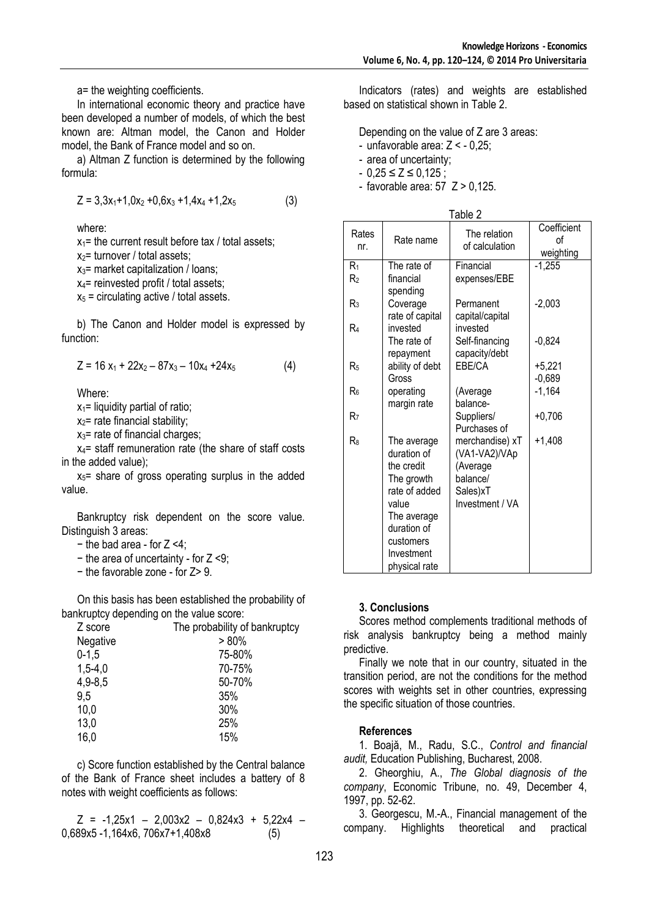a= the weighting coefficients.

In international economic theory and practice have been developed a number of models, of which the best known are: Altman model, the Canon and Holder model, the Bank of France model and so on.

a) Altman Z function is determined by the following formula:

$$
Z = 3,3x_1 + 1,0x_2 + 0,6x_3 + 1,4x_4 + 1,2x_5
$$
 (3)

where:

 $x_1$ = the current result before tax / total assets;  $x_2$ = turnover / total assets;

 $x_3$ = market capitalization / loans;

 $x_4$ = reinvested profit / total assets;

 $x_5$  = circulating active / total assets.

b) The Canon and Holder model is expressed by function:

$$
Z = 16 x_1 + 22x_2 - 87x_3 - 10x_4 + 24x_5 \tag{4}
$$

Where:

 $x_1$ = liquidity partial of ratio;

 $x_2$ = rate financial stability;

 $x_3$ = rate of financial charges;

 $x_4$ = staff remuneration rate (the share of staff costs in the added value);

 $x_5$ = share of gross operating surplus in the added value.

Bankruptcy risk dependent on the score value. Distinguish 3 areas:

- − the bad area for Z <4;
- − the area of uncertainty for Z <9;
- − the favorable zone for Z> 9.

On this basis has been established the probability of bankruptcy depending on the value score:

| Z score     | The probability of bankruptcy |
|-------------|-------------------------------|
| Negative    | $> 80\%$                      |
| $0-1,5$     | 75-80%                        |
| $1,5-4,0$   | 70-75%                        |
| $4,9 - 8,5$ | 50-70%                        |
| 9,5         | 35%                           |
| 10,0        | 30%                           |
| 13,0        | 25%                           |
| 16,0        | 15%                           |

c) Score function established by the Central balance of the Bank of France sheet includes a battery of 8 notes with weight coefficients as follows:

 $Z = -1.25x1 - 2.003x2 - 0.824x3 + 5.22x4 -$ 0,689x5 -1,164x6, 706x7+1,408x8 (5)

Indicators (rates) and weights are established based on statistical shown in Table 2.

Depending on the value of Z are 3 areas:

- unfavorable area: Z < 0,25;
- area of uncertainty;
- $0,25 ≤ Z ≤ 0,125;$
- favorable area:  $57 \text{ } Z > 0.125$ .

| Table 2        |                             |                                |                                |  |  |  |
|----------------|-----------------------------|--------------------------------|--------------------------------|--|--|--|
| Rates<br>nr.   | Rate name                   | The relation<br>of calculation | Coefficient<br>оf<br>weighting |  |  |  |
| R1             | The rate of                 | Financial                      | $-1,255$                       |  |  |  |
| R۶             | financial<br>spending       | expenses/EBE                   |                                |  |  |  |
| $R_3$          | Coverage                    | Permanent                      | $-2,003$                       |  |  |  |
| R4             | rate of capital<br>invested | capital/capital<br>invested    |                                |  |  |  |
|                | The rate of                 | Self-financing                 | $-0,824$                       |  |  |  |
|                | repayment                   | capacity/debt                  |                                |  |  |  |
| R <sub>5</sub> | ability of debt             | EBE/CA                         | $+5,221$                       |  |  |  |
|                | Gross                       |                                | $-0,689$                       |  |  |  |
| R۶             | operating<br>margin rate    | (Average<br>balance-           | $-1,164$                       |  |  |  |
| R7             |                             | Suppliers/                     | $+0,706$                       |  |  |  |
|                |                             | Purchases of                   |                                |  |  |  |
| R              | The average                 | merchandise) xT                | $+1,408$                       |  |  |  |
|                | duration of                 | (VA1-VA2)/VAp                  |                                |  |  |  |
|                | the credit                  | (Average                       |                                |  |  |  |
|                | The growth                  | balance/                       |                                |  |  |  |
|                | rate of added               | Sales)xT                       |                                |  |  |  |
|                | value                       | Investment / VA                |                                |  |  |  |
|                | The average<br>duration of  |                                |                                |  |  |  |
|                | customers                   |                                |                                |  |  |  |
|                | Investment                  |                                |                                |  |  |  |
|                | physical rate               |                                |                                |  |  |  |

#### **3. Conclusions**

Scores method complements traditional methods of risk analysis bankruptcy being a method mainly predictive.

Finally we note that in our country, situated in the transition period, are not the conditions for the method scores with weights set in other countries, expressing the specific situation of those countries.

#### **References**

1. Boajă, M., Radu, S.C., *Control and financial audit,* Education Publishing, Bucharest, 2008.

2. Gheorghiu, A., *The Global diagnosis of the company*, Economic Tribune, no. 49, December 4, 1997, pp. 52-62.

3. Georgescu, M.-A., Financial management of the company. Highlights theoretical and practical